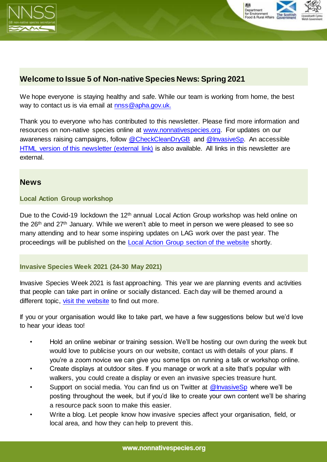



# **Welcome to Issue 5 of Non-native Species News: Spring 2021**

We hope everyone is staying healthy and safe. While our team is working from home, the best way to contact us is via email at [nnss@apha.gov.uk.](mailto:nnss@apha.gov.uk)

Thank you to everyone who has contributed to this newsletter. Please find more information and resources on non-native species online at [www.nonnativespecies.org.](http://www.nonnativespecies.org/) For updates on our awareness raising campaigns, follow [@CheckCleanDryGB](https://twitter.com/CheckCleanDryGB) and [@InvasiveSp.](https://twitter.com/invasivesp?lang=en) An accessible [HTML version of this newsletter \(external link\)](https://secure.fera.defra.gov.uk/nonnativespecies/index.cfm?pageid=678) is also available. All links in this newsletter are external.

### **News**

### **Local Action Group workshop**

Due to the Covid-19 lockdown the 12<sup>th</sup> annual Local Action Group workshop was held online on the 26th and 27th January. While we weren't able to meet in person we were pleased to see so many attending and to hear some inspiring updates on LAG work over the past year. The proceedings will be published on the [Local Action Group section of the website](http://www.nonnativespecies.org/index.cfm?sectionid=129) shortly.

### **Invasive Species Week 2021 (24-30 May 2021)**

Invasive Species Week 2021 is fast approaching. This year we are planning events and activities that people can take part in online or socially distanced. Each day will be themed around a different topic, [visit the website](http://www.nonnativespecies.org/invasivespeciesweek) to find out more.

If you or your organisation would like to take part, we have a few suggestions below but we'd love to hear your ideas too!

- Hold an online webinar or training session. We'll be hosting our own during the week but would love to publicise yours on our website, contact us with details of your plans. If you're a zoom novice we can give you some tips on running a talk or workshop online.
- Create displays at outdoor sites. If you manage or work at a site that's popular with walkers, you could create a display or even an invasive species treasure hunt.
- Support on social media. You can find us on Twitter at [@InvasiveSp](https://twitter.com/InvasiveSp) where we'll be posting throughout the week, but if you'd like to create your own content we'll be sharing a resource pack soon to make this easier.
- Write a blog. Let people know how invasive species affect your organisation, field, or local area, and how they can help to prevent this.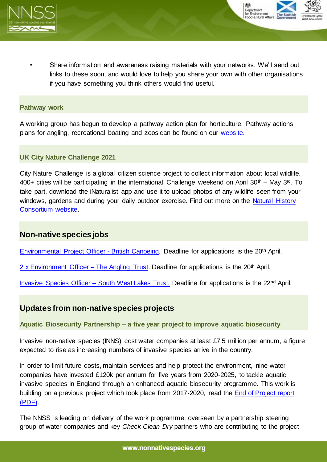



• Share information and awareness raising materials with your networks. We'll send out links to these soon, and would love to help you share your own with other organisations if you have something you think others would find useful.

#### **Pathway work**

A working group has begun to develop a pathway action plan for horticulture. Pathway actions plans for angling, recreational boating and zoos can be found on our [website.](http://www.nonnativespecies.org/index.cfm?sectionid=135)

### **UK City Nature Challenge 2021**

City Nature Challenge is a global citizen science project to collect information about local wildlife. 400+ cities will be participating in the international Challenge weekend on April 30<sup>th</sup> – May 3<sup>rd</sup>. To take part, download the iNaturalist app and use it to upload photos of any wildlife seen from your windows, gardens and during your daily outdoor exercise. Find out more on the Natural History [Consortium website.](https://www.bnhc.org.uk/bioblitz/what-is-city-nature-challenge/)

## **Non-native species jobs**

[Environmental Project](https://www.uksport.gov.uk/jobs-in-sport/Environmental-Project-Officer-UKSP-34147) Officer - British Canoeing. Deadline for applications is the 20th April.

2 x Environment Officer – [The Angling Trust.](https://anglingtrust.net/about-us/angling-trust-vacancies/) Deadline for applications is the 20th April.

[Invasive Species Officer –](https://www.swlakestrust.org.uk/join-the-team) South West Lakes Trust. Deadline for applications is the 22nd April.

## **Updates from non-native species projects**

**Aquatic Biosecurity Partnership – a five year project to improve aquatic biosecurity**

Invasive non-native species (INNS) cost water companies at least £7.5 million per annum, a figure expected to rise as increasing numbers of invasive species arrive in the country.

In order to limit future costs, maintain services and help protect the environment, nine water companies have invested £120k per annum for five years from 2020-2025, to tackle aquatic invasive species in England through an enhanced aquatic biosecurity programme. This work is building on a previous project which took place from 2017-2020, read the [End of Project report](https://secure.fera.defra.gov.uk/nonnativespecies/downloadDocument.cfm?id=2432%20)  [\(PDF\).](https://secure.fera.defra.gov.uk/nonnativespecies/downloadDocument.cfm?id=2432%20)

The NNSS is leading on delivery of the work programme, overseen by a partnership steering group of water companies and key *Check Clean Dry* partners who are contributing to the project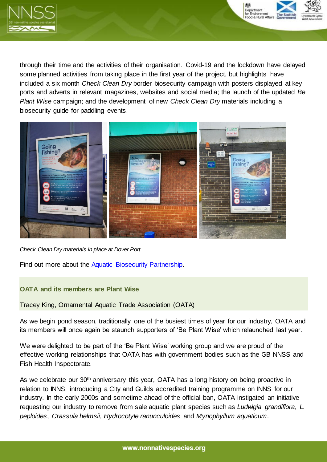



through their time and the activities of their organisation. Covid-19 and the lockdown have delayed some planned activities from taking place in the first year of the project, but highlights have included a six month *Check Clean Dry* border biosecurity campaign with posters displayed at key ports and adverts in relevant magazines, websites and social media; the launch of the updated *Be Plant Wise* campaign; and the development of new *Check Clean Dry* materials including a biosecurity guide for paddling events.



*Check Clean Dry materials in place at Dover Port*

Find out more about the [Aquatic Biosecurity Partnership.](http://www.nonnativespecies.org/index.cfm?sectionid=140) 

#### **OATA and its members are Plant Wise**

Tracey King, Ornamental Aquatic Trade Association (OATA)

As we begin pond season, traditionally one of the busiest times of year for our industry, OATA and its members will once again be staunch supporters of 'Be Plant Wise' which relaunched last year.

We were delighted to be part of the 'Be Plant Wise' working group and we are proud of the effective working relationships that OATA has with government bodies such as the GB NNSS and Fish Health Inspectorate.

As we celebrate our 30<sup>th</sup> anniversary this year, OATA has a long history on being proactive in relation to INNS, introducing a City and Guilds accredited training programme on INNS for our industry. In the early 2000s and sometime ahead of the official ban, OATA instigated an initiative requesting our industry to remove from sale aquatic plant species such as *Ludwigia grandiflora*, *L. peploides*, *Crassula helmsii*, *Hydrocotyle ranunculoides* and *Myriophyllum aquaticum*.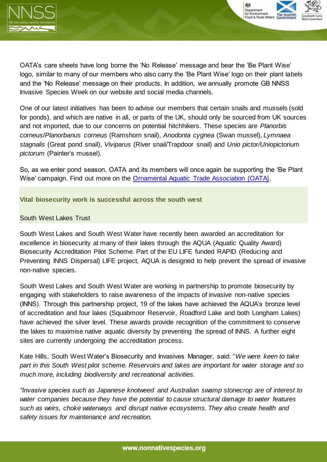



OATA's care sheets have long borne the 'No Release' message and bear the 'Be Plant Wise' logo, similar to many of our members who also carry the 'Be Plant Wise' logo on their plant labels and the 'No Release' message on their products. In addition, we annually promote GB NNSS Invasive Species Week on our website and social media channels.

One of our latest initiatives has been to advise our members that certain snails and mussels (sold for ponds), and which are native in all, or parts of the UK, should only be sourced from UK sources and not imported, due to our concerns on potential hitchhikers. These species are *Planorbis corneus*/*Planorbanus corneus* (Ramshorn snail), *Anodonta cygnea* (Swan mussel), *Lymnaea stagnalis* (Great pond snail), *Viviparus* (River snail/Trapdoor snail) and *Unio pictor/Uni*opictorium *pictorum* (Painter's mussel).

So, as we enter pond season, OATA and its members will once again be supporting the 'Be Plant Wise' campaign. Find out more on the [Ornamental Aquatic Trade Association \(OATA\).](https://ornamentalfish.org/)

**Vital biosecurity work is successful across the south west**

### South West Lakes Trust

South West Lakes and South West Water have recently been awarded an accreditation for excellence in biosecurity at many of their lakes through the AQUA (Aquatic Quality Award) Biosecurity Accreditation Pilot Scheme. Part of the EU LIFE funded RAPID (Reducing and Preventing INNS Dispersal) LIFE project, AQUA is designed to help prevent the spread of invasive non-native species.

South West Lakes and South West Water are working in partnership to promote biosecurity by engaging with stakeholders to raise awareness of the impacts of invasive non-native species (INNS). Through this partnership project, 19 of the lakes have achieved the AQUA's bronze level of accreditation and four lakes (Squabmoor Reservoir, Roadford Lake and both Longham Lakes) have achieved the silver level. These awards provide recognition of the commitment to conserve the lakes to maximise native aquatic diversity by preventing the spread of INNS. A further eight sites are currently undergoing the accreditation process.

Kate Hills, South West Water's Biosecurity and Invasives Manager, said: "*We were keen to take part in this South West pilot scheme. Reservoirs and lakes are important for water storage and so much more, including biodiversity and recreational activities.* 

*"Invasive species such as Japanese knotweed and Australian swamp stonecrop are of interest to water companies because they have the potential to cause structural damage to water features such as weirs, choke waterways and disrupt native ecosystems. They also create health and safety issues for maintenance and recreation.*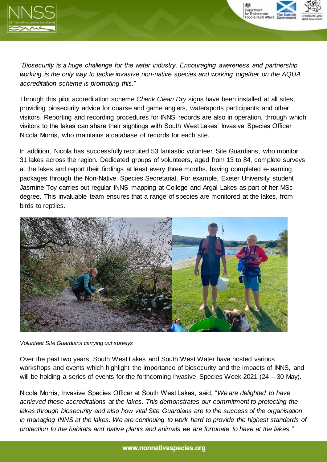



*"Biosecurity is a huge challenge for the water industry. Encouraging awareness and partnership working is the only way to tackle invasive non-native species and working together on the AQUA accreditation scheme is promoting this.*"

Through this pilot accreditation scheme *Check Clean Dry* signs have been installed at all sites, providing biosecurity advice for coarse and game anglers, watersports participants and other visitors. Reporting and recording procedures for INNS records are also in operation, through which visitors to the lakes can share their sightings with South West Lakes' Invasive Species Officer Nicola Morris, who maintains a database of records for each site.

In addition, Nicola has successfully recruited 53 fantastic volunteer Site Guardians, who monitor 31 lakes across the region. Dedicated groups of volunteers, aged from 13 to 84, complete surveys at the lakes and report their findings at least every three months, having completed e-learning packages through the Non-Native Species Secretariat. For example, Exeter University student Jasmine Toy carries out regular INNS mapping at College and Argal Lakes as part of her MSc degree. This invaluable team ensures that a range of species are monitored at the lakes, from birds to reptiles.



*Volunteer Site Guardians carrying out surveys*

Over the past two years, South West Lakes and South West Water have hosted various workshops and events which highlight the importance of biosecurity and the impacts of INNS, and will be holding a series of events for the forthcoming Invasive Species Week 2021 (24 – 30 May).

Nicola Morris, Invasive Species Officer at South West Lakes, said, "*We are delighted to have achieved these accreditations at the lakes. This demonstrates our commitment to protecting the lakes through biosecurity and also how vital Site Guardians are to the success of the organisation in managing INNS at the lakes. We are continuing to work hard to provide the highest standards of protection to the habitats and native plants and animals we are fortunate to have at the lakes*."